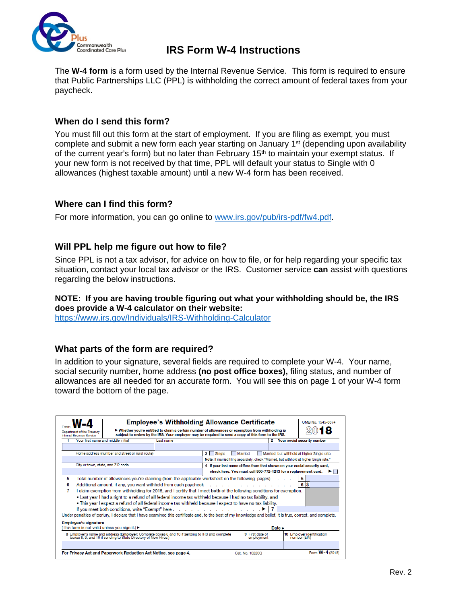

# **IRS Form W-4 Instructions**

The **W-4 form** is a form used by the Internal Revenue Service. This form is required to ensure that Public Partnerships LLC (PPL) is withholding the correct amount of federal taxes from your paycheck.

# **When do I send this form?**

You must fill out this form at the start of employment. If you are filing as exempt, you must complete and submit a new form each year starting on January  $1<sup>st</sup>$  (depending upon availability of the current year's form) but no later than February  $15<sup>th</sup>$  to maintain your exempt status. If your new form is not received by that time, PPL will default your status to Single with 0 allowances (highest taxable amount) until a new W-4 form has been received.

## **Where can I find this form?**

For more information, you can go online to [www.irs.gov/pub/irs-pdf/fw4.pdf.](http://www.irs.gov/pub/irs-pdf/fw4.pdf)

## **Will PPL help me figure out how to file?**

Since PPL is not a tax advisor, for advice on how to file, or for help regarding your specific tax situation, contact your local tax advisor or the IRS. Customer service **can** assist with questions regarding the below instructions.

#### **NOTE: If you are having trouble figuring out what your withholding should be, the IRS does provide a W-4 calculator on their website:**

<https://www.irs.gov/Individuals/IRS-Withholding-Calculator>

## **What parts of the form are required?**

In addition to your signature, several fields are required to complete your W-4. Your name, social security number, home address **(no post office boxes),** filing status, and number of allowances are all needed for an accurate form. You will see this on page 1 of your W-4 form toward the bottom of the page.

| Department of the Treasury<br>Internal Revenue Service                                                                                                      |                                                                                                                        | <b>Employee's Withholding Allowance Certificate</b><br>► Whether you're entitled to claim a certain number of allowances or exemption from withholding is<br>subject to review by the IRS. Your employer may be required to send a copy of this form to the IRS. |           |                                                                                          |                            | OMB No. 1545-0074 |                            |  |
|-------------------------------------------------------------------------------------------------------------------------------------------------------------|------------------------------------------------------------------------------------------------------------------------|------------------------------------------------------------------------------------------------------------------------------------------------------------------------------------------------------------------------------------------------------------------|-----------|------------------------------------------------------------------------------------------|----------------------------|-------------------|----------------------------|--|
| Your first name and middle initial                                                                                                                          |                                                                                                                        |                                                                                                                                                                                                                                                                  | Last name | Your social security number                                                              |                            |                   |                            |  |
|                                                                                                                                                             |                                                                                                                        |                                                                                                                                                                                                                                                                  |           |                                                                                          |                            |                   |                            |  |
| Home address (number and street or rural route)                                                                                                             |                                                                                                                        |                                                                                                                                                                                                                                                                  |           | Married<br>Married, but withhold at higher Single rate.<br>3   Single                    |                            |                   |                            |  |
|                                                                                                                                                             |                                                                                                                        |                                                                                                                                                                                                                                                                  |           | Note: If married filing separately, check "Married, but withhold at higher Single rate." |                            |                   |                            |  |
| City or town, state, and ZIP code                                                                                                                           |                                                                                                                        |                                                                                                                                                                                                                                                                  |           | 4 If your last name differs from that shown on your social security card.                |                            |                   |                            |  |
|                                                                                                                                                             |                                                                                                                        |                                                                                                                                                                                                                                                                  |           | check here. You must call 800-772-1213 for a replacement card.                           |                            |                   |                            |  |
| 5                                                                                                                                                           | Total number of allowances you're claiming (from the applicable worksheet on the following pages)<br>5                 |                                                                                                                                                                                                                                                                  |           |                                                                                          |                            |                   |                            |  |
| 6                                                                                                                                                           | 6<br>1\$<br>Additional amount, if any, you want withheld from each paycheck                                            |                                                                                                                                                                                                                                                                  |           |                                                                                          |                            |                   |                            |  |
| 7                                                                                                                                                           | I claim exemption from withholding for 2018, and I certify that I meet both of the following conditions for exemption. |                                                                                                                                                                                                                                                                  |           |                                                                                          |                            |                   |                            |  |
|                                                                                                                                                             | . Last year I had a right to a refund of all federal income tax withheld because I had no tax liability, and           |                                                                                                                                                                                                                                                                  |           |                                                                                          |                            |                   |                            |  |
|                                                                                                                                                             | . This year I expect a refund of all federal income tax withheld because I expect to have no tax liability.            |                                                                                                                                                                                                                                                                  |           |                                                                                          |                            |                   |                            |  |
|                                                                                                                                                             | If you meet both conditions, write "Exempt" here $\ldots$ , $\ldots$ , $\ldots$ , $\ldots$ , $\ldots$ , $\ldots$       |                                                                                                                                                                                                                                                                  |           |                                                                                          |                            |                   |                            |  |
| Under penalties of perjury, I declare that I have examined this certificate and, to the best of my knowledge and belief, it is true, correct, and complete. |                                                                                                                        |                                                                                                                                                                                                                                                                  |           |                                                                                          |                            |                   |                            |  |
|                                                                                                                                                             |                                                                                                                        |                                                                                                                                                                                                                                                                  |           |                                                                                          |                            |                   |                            |  |
| <b>Employee's signature</b><br>(This form is not valid unless you sign it.) ►                                                                               |                                                                                                                        |                                                                                                                                                                                                                                                                  |           |                                                                                          | Date $\blacktriangleright$ |                   |                            |  |
|                                                                                                                                                             |                                                                                                                        | 8 Employer's name and address (Employer: Complete boxes 8 and 10 if sending to IRS and complete                                                                                                                                                                  |           |                                                                                          | 9 First date of            |                   | 10 Employer identification |  |
| boxes 8, 9, and 10 if sending to State Directory of New Hires.)                                                                                             |                                                                                                                        |                                                                                                                                                                                                                                                                  |           |                                                                                          | employment                 |                   | number (EIN)               |  |
|                                                                                                                                                             |                                                                                                                        |                                                                                                                                                                                                                                                                  |           |                                                                                          |                            |                   |                            |  |
| For Privacy Act and Paperwork Reduction Act Notice, see page 4.<br>Cat. No. 10220Q                                                                          |                                                                                                                        |                                                                                                                                                                                                                                                                  |           |                                                                                          |                            |                   | Form <b>W-4</b> (2018)     |  |
|                                                                                                                                                             |                                                                                                                        |                                                                                                                                                                                                                                                                  |           |                                                                                          |                            |                   |                            |  |